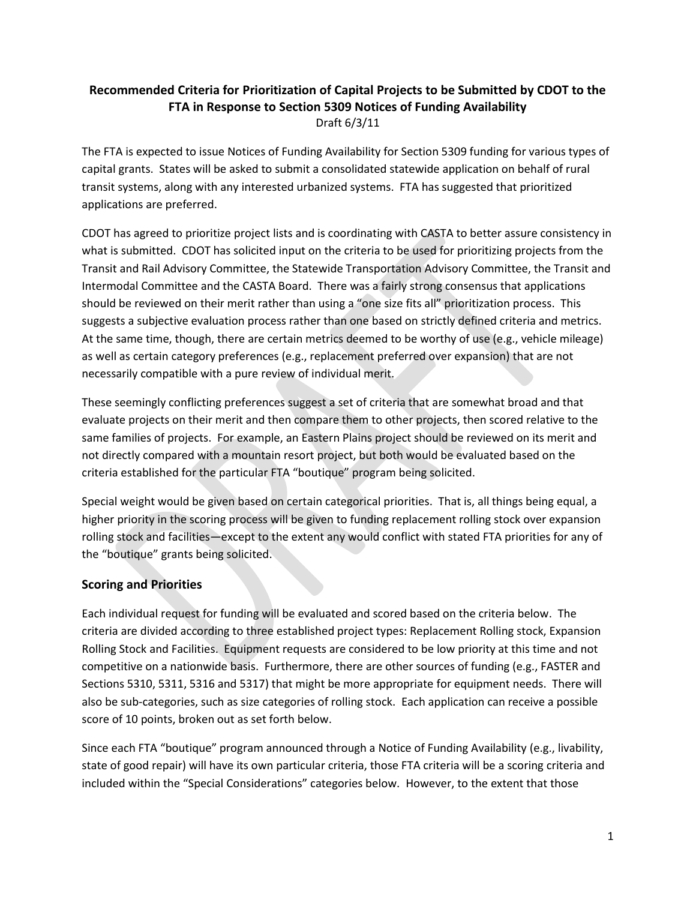## **Recommended Criteria for Prioritization of Capital Projects to be Submitted by CDOT to the FTA in Response to Section 5309 Notices of Funding Availability**  Draft 6/3/11

The FTA is expected to issue Notices of Funding Availability for Section 5309 funding for various types of capital grants. States will be asked to submit a consolidated statewide application on behalf of rural transit systems, along with any interested urbanized systems. FTA has suggested that prioritized applications are preferred.

CDOT has agreed to prioritize project lists and is coordinating with CASTA to better assure consistency in what is submitted. CDOT has solicited input on the criteria to be used for prioritizing projects from the Transit and Rail Advisory Committee, the Statewide Transportation Advisory Committee, the Transit and Intermodal Committee and the CASTA Board. There was a fairly strong consensus that applications should be reviewed on their merit rather than using a "one size fits all" prioritization process. This suggests a subjective evaluation process rather than one based on strictly defined criteria and metrics. At the same time, though, there are certain metrics deemed to be worthy of use (e.g., vehicle mileage) as well as certain category preferences (e.g., replacement preferred over expansion) that are not necessarily compatible with a pure review of individual merit.

These seemingly conflicting preferences suggest a set of criteria that are somewhat broad and that evaluate projects on their merit and then compare them to other projects, then scored relative to the same families of projects. For example, an Eastern Plains project should be reviewed on its merit and not directly compared with a mountain resort project, but both would be evaluated based on the criteria established for the particular FTA "boutique" program being solicited.

Special weight would be given based on certain categorical priorities. That is, all things being equal, a higher priority in the scoring process will be given to funding replacement rolling stock over expansion rolling stock and facilities—except to the extent any would conflict with stated FTA priorities for any of the "boutique" grants being solicited.

# **Scoring and Priorities**

Each individual request for funding will be evaluated and scored based on the criteria below. The criteria are divided according to three established project types: Replacement Rolling stock, Expansion Rolling Stock and Facilities. Equipment requests are considered to be low priority at this time and not competitive on a nationwide basis. Furthermore, there are other sources of funding (e.g., FASTER and Sections 5310, 5311, 5316 and 5317) that might be more appropriate for equipment needs. There will also be sub-categories, such as size categories of rolling stock. Each application can receive a possible score of 10 points, broken out as set forth below.

Since each FTA "boutique" program announced through a Notice of Funding Availability (e.g., livability, state of good repair) will have its own particular criteria, those FTA criteria will be a scoring criteria and included within the "Special Considerations" categories below. However, to the extent that those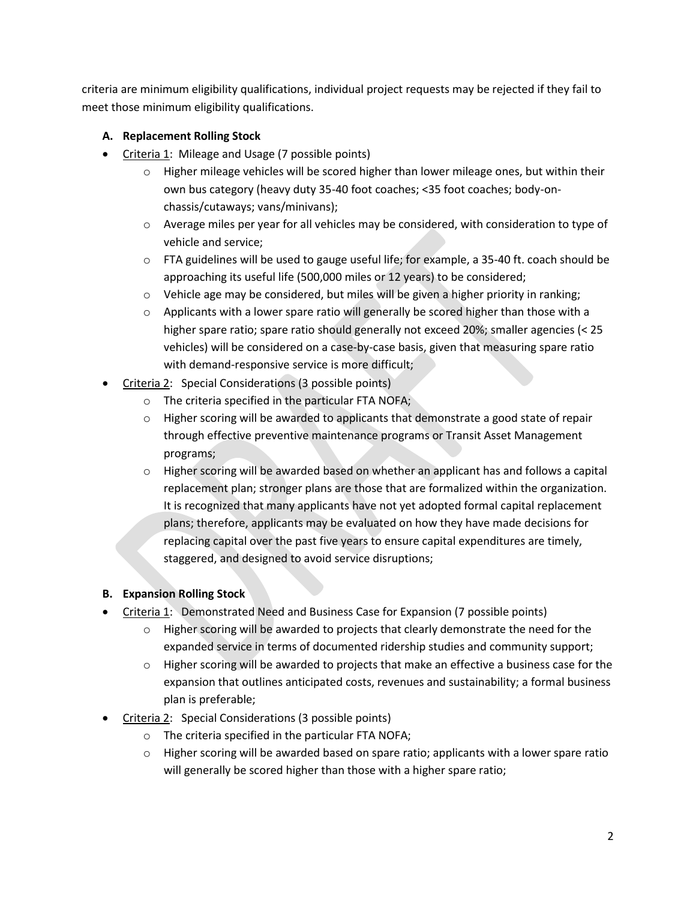criteria are minimum eligibility qualifications, individual project requests may be rejected if they fail to meet those minimum eligibility qualifications.

## **A. Replacement Rolling Stock**

- Criteria 1: Mileage and Usage (7 possible points)
	- $\circ$  Higher mileage vehicles will be scored higher than lower mileage ones, but within their own bus category (heavy duty 35-40 foot coaches; <35 foot coaches; body-onchassis/cutaways; vans/minivans);
	- $\circ$  Average miles per year for all vehicles may be considered, with consideration to type of vehicle and service;
	- $\circ$  FTA guidelines will be used to gauge useful life; for example, a 35-40 ft. coach should be approaching its useful life (500,000 miles or 12 years) to be considered;
	- $\circ$  Vehicle age may be considered, but miles will be given a higher priority in ranking;
	- $\circ$  Applicants with a lower spare ratio will generally be scored higher than those with a higher spare ratio; spare ratio should generally not exceed 20%; smaller agencies (< 25 vehicles) will be considered on a case-by-case basis, given that measuring spare ratio with demand-responsive service is more difficult;
- Criteria 2: Special Considerations (3 possible points)
	- o The criteria specified in the particular FTA NOFA;
	- $\circ$  Higher scoring will be awarded to applicants that demonstrate a good state of repair through effective preventive maintenance programs or Transit Asset Management programs;
	- $\circ$  Higher scoring will be awarded based on whether an applicant has and follows a capital replacement plan; stronger plans are those that are formalized within the organization. It is recognized that many applicants have not yet adopted formal capital replacement plans; therefore, applicants may be evaluated on how they have made decisions for replacing capital over the past five years to ensure capital expenditures are timely, staggered, and designed to avoid service disruptions;

# **B. Expansion Rolling Stock**

- Criteria 1: Demonstrated Need and Business Case for Expansion (7 possible points)
	- $\circ$  Higher scoring will be awarded to projects that clearly demonstrate the need for the expanded service in terms of documented ridership studies and community support;
	- $\circ$  Higher scoring will be awarded to projects that make an effective a business case for the expansion that outlines anticipated costs, revenues and sustainability; a formal business plan is preferable;
- Criteria 2: Special Considerations (3 possible points)
	- o The criteria specified in the particular FTA NOFA;
	- $\circ$  Higher scoring will be awarded based on spare ratio; applicants with a lower spare ratio will generally be scored higher than those with a higher spare ratio;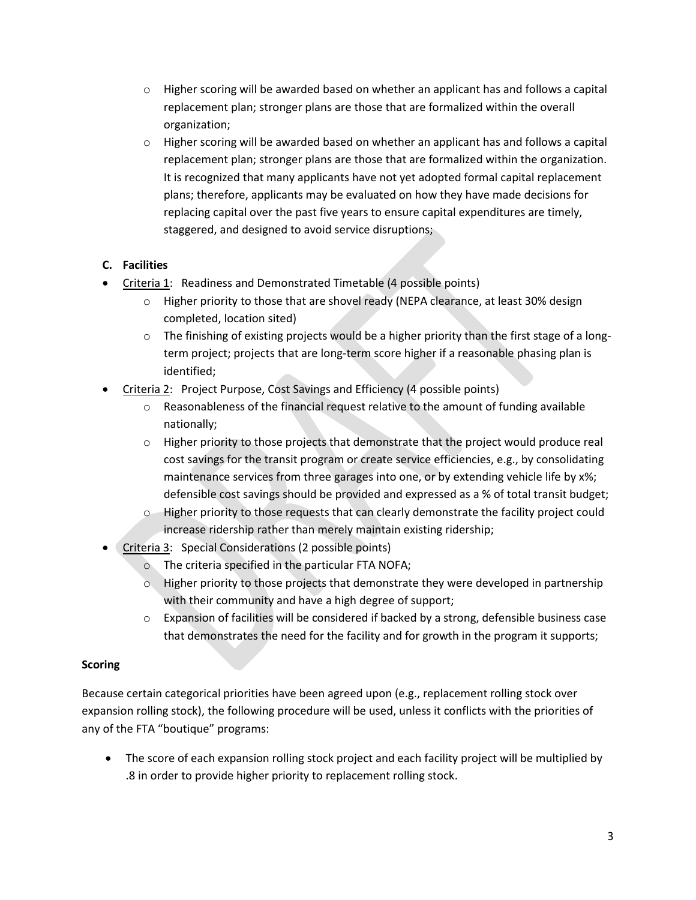- $\circ$  Higher scoring will be awarded based on whether an applicant has and follows a capital replacement plan; stronger plans are those that are formalized within the overall organization;
- $\circ$  Higher scoring will be awarded based on whether an applicant has and follows a capital replacement plan; stronger plans are those that are formalized within the organization. It is recognized that many applicants have not yet adopted formal capital replacement plans; therefore, applicants may be evaluated on how they have made decisions for replacing capital over the past five years to ensure capital expenditures are timely, staggered, and designed to avoid service disruptions;

#### **C. Facilities**

- Criteria 1: Readiness and Demonstrated Timetable (4 possible points)
	- $\circ$  Higher priority to those that are shovel ready (NEPA clearance, at least 30% design completed, location sited)
	- $\circ$  The finishing of existing projects would be a higher priority than the first stage of a longterm project; projects that are long-term score higher if a reasonable phasing plan is identified;
- Criteria 2: Project Purpose, Cost Savings and Efficiency (4 possible points)
	- $\circ$  Reasonableness of the financial request relative to the amount of funding available nationally;
	- $\circ$  Higher priority to those projects that demonstrate that the project would produce real cost savings for the transit program or create service efficiencies, e.g., by consolidating maintenance services from three garages into one, or by extending vehicle life by x%; defensible cost savings should be provided and expressed as a % of total transit budget;
	- o Higher priority to those requests that can clearly demonstrate the facility project could increase ridership rather than merely maintain existing ridership;
- Criteria 3: Special Considerations (2 possible points)
	- o The criteria specified in the particular FTA NOFA;
	- $\circ$  Higher priority to those projects that demonstrate they were developed in partnership with their community and have a high degree of support;
	- o Expansion of facilities will be considered if backed by a strong, defensible business case that demonstrates the need for the facility and for growth in the program it supports;

#### **Scoring**

Because certain categorical priorities have been agreed upon (e.g., replacement rolling stock over expansion rolling stock), the following procedure will be used, unless it conflicts with the priorities of any of the FTA "boutique" programs:

 The score of each expansion rolling stock project and each facility project will be multiplied by .8 in order to provide higher priority to replacement rolling stock.